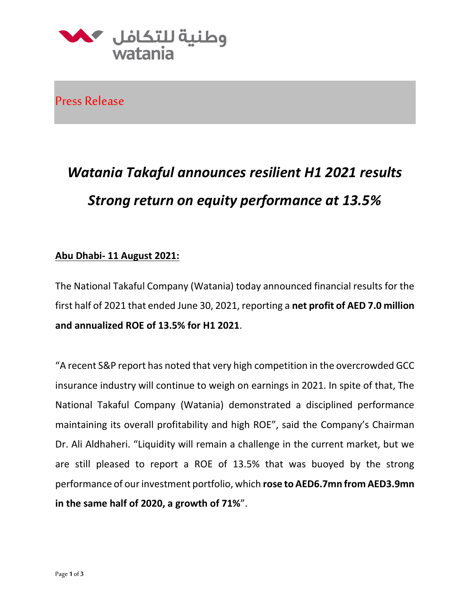

Press Release

# *Watania Takaful announces resilient H1 2021 results Strong return on equity performance at 13.5%*

#### **Abu Dhabi- 11 August 2021:**

The National Takaful Company (Watania) today announced financial results for the first half of 2021 that ended June 30, 2021, reporting a **net profit of AED 7.0 million and annualized ROE of 13.5% for H1 2021**.

"A recent S&P report has noted that very high competition in the overcrowded GCC insurance industry will continue to weigh on earnings in 2021. In spite of that, The National Takaful Company (Watania) demonstrated a disciplined performance maintaining its overall profitability and high ROE", said the Company's Chairman Dr. Ali Aldhaheri. "Liquidity will remain a challenge in the current market, but we are still pleased to report a ROE of 13.5% that was buoyed by the strong performance of our investment portfolio, which **rose to AED6.7mn from AED3.9mn in the same half of 2020, a growth of 71%**".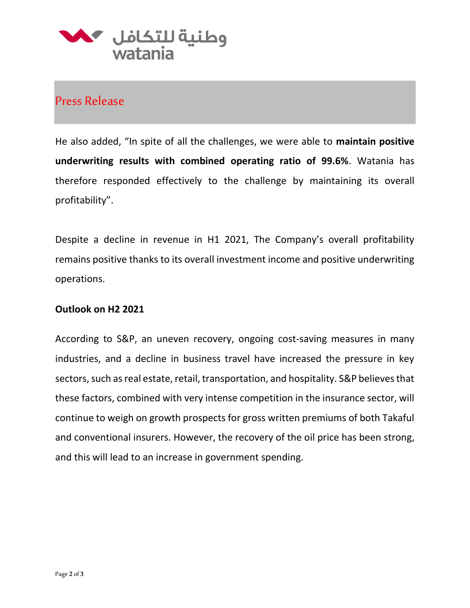

### Press Release

He also added, "In spite of all the challenges, we were able to **maintain positive underwriting results with combined operating ratio of 99.6%**. Watania has therefore responded effectively to the challenge by maintaining its overall profitability".

Despite a decline in revenue in H1 2021, The Company's overall profitability remains positive thanks to its overall investment income and positive underwriting operations.

#### **Outlook on H2 2021**

According to S&P, an uneven recovery, ongoing cost-saving measures in many industries, and a decline in business travel have increased the pressure in key sectors, such as real estate, retail, transportation, and hospitality. S&P believes that these factors, combined with very intense competition in the insurance sector, will continue to weigh on growth prospects for gross written premiums of both Takaful and conventional insurers. However, the recovery of the oil price has been strong, and this will lead to an increase in government spending.